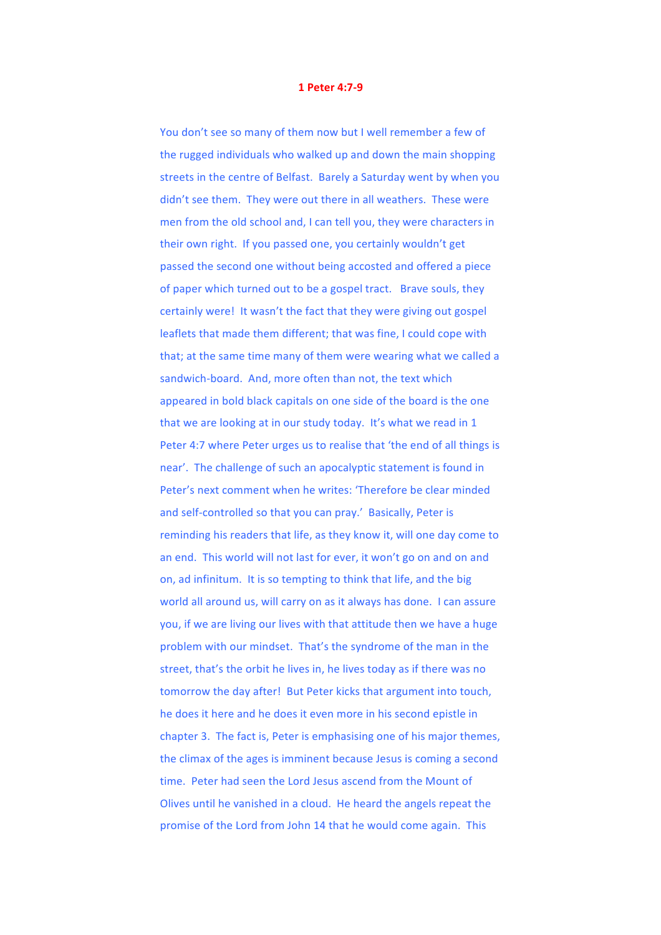## **1 Peter 4:7-9**

You don't see so many of them now but I well remember a few of the rugged individuals who walked up and down the main shopping streets in the centre of Belfast. Barely a Saturday went by when you didn't see them. They were out there in all weathers. These were men from the old school and, I can tell you, they were characters in their own right. If you passed one, you certainly wouldn't get passed the second one without being accosted and offered a piece of paper which turned out to be a gospel tract. Brave souls, they certainly were! It wasn't the fact that they were giving out gospel leaflets that made them different; that was fine, I could cope with that; at the same time many of them were wearing what we called a sandwich-board. And, more often than not, the text which appeared in bold black capitals on one side of the board is the one that we are looking at in our study today. It's what we read in  $1$ Peter 4:7 where Peter urges us to realise that 'the end of all things is near'. The challenge of such an apocalyptic statement is found in Peter's next comment when he writes: 'Therefore be clear minded and self-controlled so that you can pray.' Basically, Peter is reminding his readers that life, as they know it, will one day come to an end. This world will not last for ever, it won't go on and on and on, ad infinitum. It is so tempting to think that life, and the big world all around us, will carry on as it always has done. I can assure you, if we are living our lives with that attitude then we have a huge problem with our mindset. That's the syndrome of the man in the street, that's the orbit he lives in, he lives today as if there was no tomorrow the day after! But Peter kicks that argument into touch, he does it here and he does it even more in his second epistle in chapter 3. The fact is, Peter is emphasising one of his major themes, the climax of the ages is imminent because Jesus is coming a second time. Peter had seen the Lord Jesus ascend from the Mount of Olives until he vanished in a cloud. He heard the angels repeat the promise of the Lord from John 14 that he would come again. This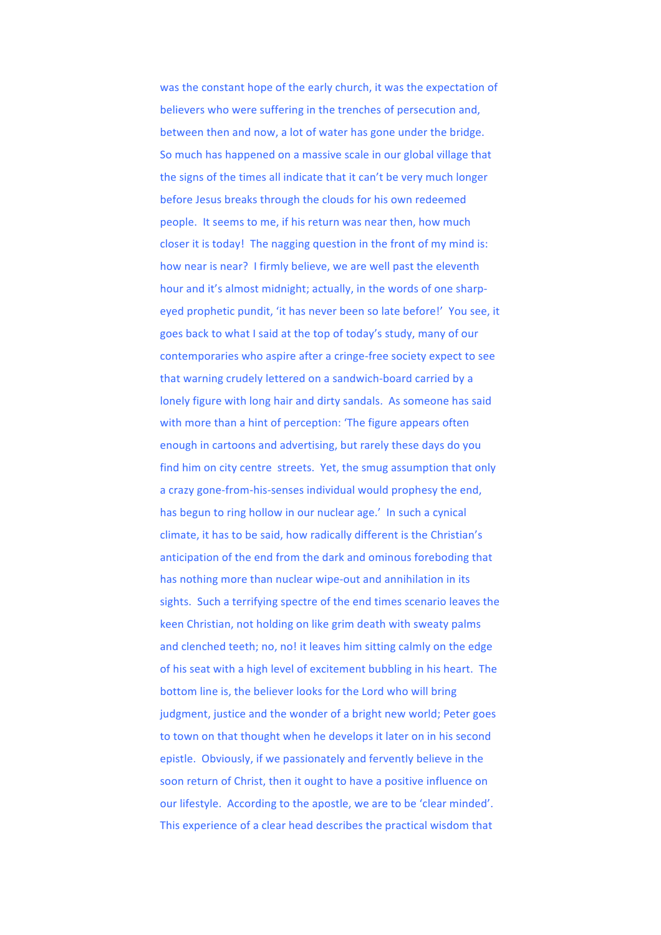was the constant hope of the early church, it was the expectation of believers who were suffering in the trenches of persecution and, between then and now, a lot of water has gone under the bridge. So much has happened on a massive scale in our global village that the signs of the times all indicate that it can't be very much longer before Jesus breaks through the clouds for his own redeemed people. It seems to me, if his return was near then, how much closer it is today! The nagging question in the front of my mind is: how near is near? I firmly believe, we are well past the eleventh hour and it's almost midnight; actually, in the words of one sharpeyed prophetic pundit, 'it has never been so late before!' You see, it goes back to what I said at the top of today's study, many of our contemporaries who aspire after a cringe-free society expect to see that warning crudely lettered on a sandwich-board carried by a lonely figure with long hair and dirty sandals. As someone has said with more than a hint of perception: 'The figure appears often enough in cartoons and advertising, but rarely these days do you find him on city centre streets. Yet, the smug assumption that only a crazy gone-from-his-senses individual would prophesy the end, has begun to ring hollow in our nuclear age.' In such a cynical climate, it has to be said, how radically different is the Christian's anticipation of the end from the dark and ominous foreboding that has nothing more than nuclear wipe-out and annihilation in its sights. Such a terrifying spectre of the end times scenario leaves the keen Christian, not holding on like grim death with sweaty palms and clenched teeth; no, no! it leaves him sitting calmly on the edge of his seat with a high level of excitement bubbling in his heart. The bottom line is, the believer looks for the Lord who will bring judgment, justice and the wonder of a bright new world; Peter goes to town on that thought when he develops it later on in his second epistle. Obviously, if we passionately and fervently believe in the soon return of Christ, then it ought to have a positive influence on our lifestyle. According to the apostle, we are to be 'clear minded'. This experience of a clear head describes the practical wisdom that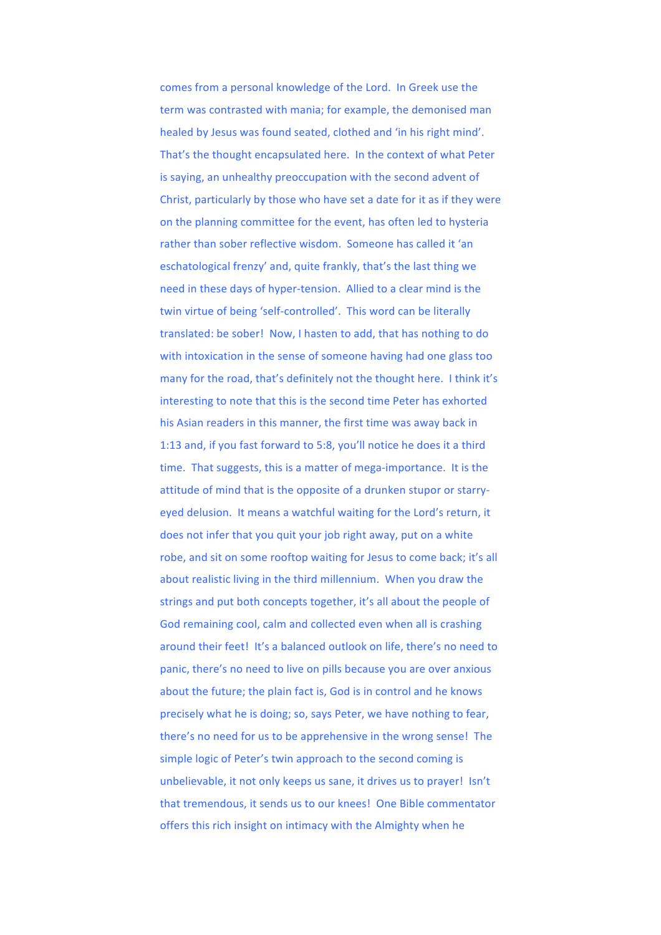comes from a personal knowledge of the Lord. In Greek use the term was contrasted with mania; for example, the demonised man healed by Jesus was found seated, clothed and 'in his right mind'. That's the thought encapsulated here. In the context of what Peter is saying, an unhealthy preoccupation with the second advent of Christ, particularly by those who have set a date for it as if they were on the planning committee for the event, has often led to hysteria rather than sober reflective wisdom. Someone has called it 'an eschatological frenzy' and, quite frankly, that's the last thing we need in these days of hyper-tension. Allied to a clear mind is the twin virtue of being 'self-controlled'. This word can be literally translated: be sober! Now, I hasten to add, that has nothing to do with intoxication in the sense of someone having had one glass too many for the road, that's definitely not the thought here. I think it's interesting to note that this is the second time Peter has exhorted his Asian readers in this manner, the first time was away back in 1:13 and, if you fast forward to 5:8, you'll notice he does it a third time. That suggests, this is a matter of mega-importance. It is the attitude of mind that is the opposite of a drunken stupor or starryeyed delusion. It means a watchful waiting for the Lord's return, it does not infer that you quit your job right away, put on a white robe, and sit on some rooftop waiting for Jesus to come back; it's all about realistic living in the third millennium. When you draw the strings and put both concepts together, it's all about the people of God remaining cool, calm and collected even when all is crashing around their feet! It's a balanced outlook on life, there's no need to panic, there's no need to live on pills because you are over anxious about the future; the plain fact is, God is in control and he knows precisely what he is doing; so, says Peter, we have nothing to fear, there's no need for us to be apprehensive in the wrong sense! The simple logic of Peter's twin approach to the second coming is unbelievable, it not only keeps us sane, it drives us to prayer! Isn't that tremendous, it sends us to our knees! One Bible commentator offers this rich insight on intimacy with the Almighty when he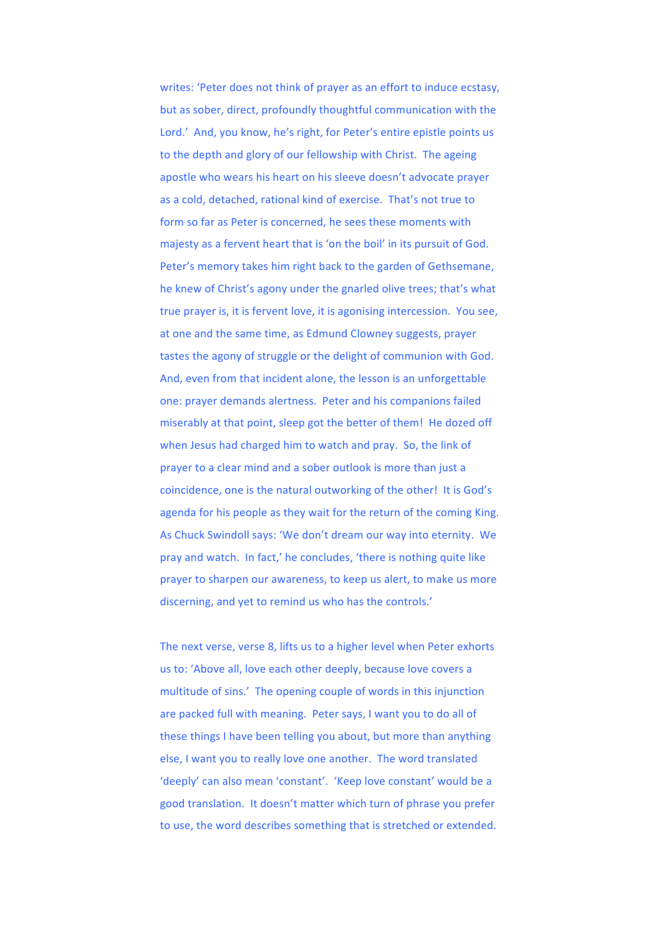writes: 'Peter does not think of prayer as an effort to induce ecstasy, but as sober, direct, profoundly thoughtful communication with the Lord.' And, you know, he's right, for Peter's entire epistle points us to the depth and glory of our fellowship with Christ. The ageing apostle who wears his heart on his sleeve doesn't advocate prayer as a cold, detached, rational kind of exercise. That's not true to form so far as Peter is concerned, he sees these moments with majesty as a fervent heart that is 'on the boil' in its pursuit of God. Peter's memory takes him right back to the garden of Gethsemane, he knew of Christ's agony under the gnarled olive trees; that's what true prayer is, it is fervent love, it is agonising intercession. You see, at one and the same time, as Edmund Clowney suggests, prayer tastes the agony of struggle or the delight of communion with God. And, even from that incident alone, the lesson is an unforgettable one: prayer demands alertness. Peter and his companions failed miserably at that point, sleep got the better of them! He dozed off when Jesus had charged him to watch and pray. So, the link of prayer to a clear mind and a sober outlook is more than just a coincidence, one is the natural outworking of the other! It is God's agenda for his people as they wait for the return of the coming King. As Chuck Swindoll says: 'We don't dream our way into eternity. We pray and watch. In fact,' he concludes, 'there is nothing quite like prayer to sharpen our awareness, to keep us alert, to make us more discerning, and yet to remind us who has the controls.'

The next verse, verse 8, lifts us to a higher level when Peter exhorts us to: 'Above all, love each other deeply, because love covers a multitude of sins.' The opening couple of words in this injunction are packed full with meaning. Peter says, I want you to do all of these things I have been telling you about, but more than anything else, I want you to really love one another. The word translated 'deeply' can also mean 'constant'. 'Keep love constant' would be a good translation. It doesn't matter which turn of phrase you prefer to use, the word describes something that is stretched or extended.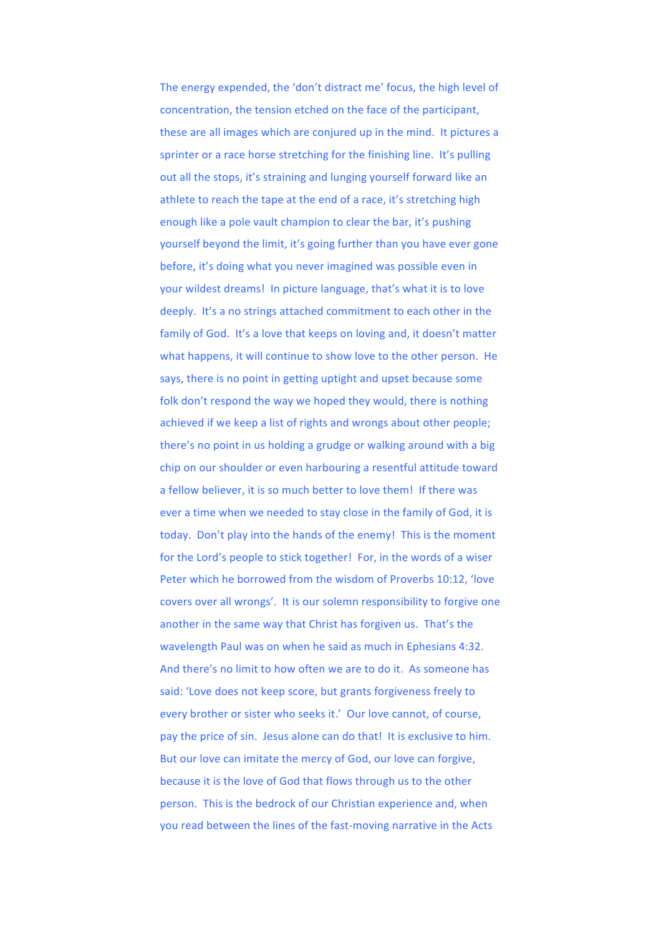The energy expended, the 'don't distract me' focus, the high level of concentration, the tension etched on the face of the participant, these are all images which are conjured up in the mind. It pictures a sprinter or a race horse stretching for the finishing line. It's pulling out all the stops, it's straining and lunging yourself forward like an athlete to reach the tape at the end of a race, it's stretching high enough like a pole vault champion to clear the bar, it's pushing yourself beyond the limit, it's going further than you have ever gone before, it's doing what you never imagined was possible even in your wildest dreams! In picture language, that's what it is to love deeply. It's a no strings attached commitment to each other in the family of God. It's a love that keeps on loving and, it doesn't matter what happens, it will continue to show love to the other person. He says, there is no point in getting uptight and upset because some folk don't respond the way we hoped they would, there is nothing achieved if we keep a list of rights and wrongs about other people; there's no point in us holding a grudge or walking around with a big chip on our shoulder or even harbouring a resentful attitude toward a fellow believer, it is so much better to love them! If there was ever a time when we needed to stay close in the family of God, it is today. Don't play into the hands of the enemy! This is the moment for the Lord's people to stick together! For, in the words of a wiser Peter which he borrowed from the wisdom of Proverbs 10:12, 'love covers over all wrongs'. It is our solemn responsibility to forgive one another in the same way that Christ has forgiven us. That's the wavelength Paul was on when he said as much in Ephesians 4:32. And there's no limit to how often we are to do it. As someone has said: 'Love does not keep score, but grants forgiveness freely to every brother or sister who seeks it.' Our love cannot, of course, pay the price of sin. Jesus alone can do that! It is exclusive to him. But our love can imitate the mercy of God, our love can forgive, because it is the love of God that flows through us to the other person. This is the bedrock of our Christian experience and, when you read between the lines of the fast-moving narrative in the Acts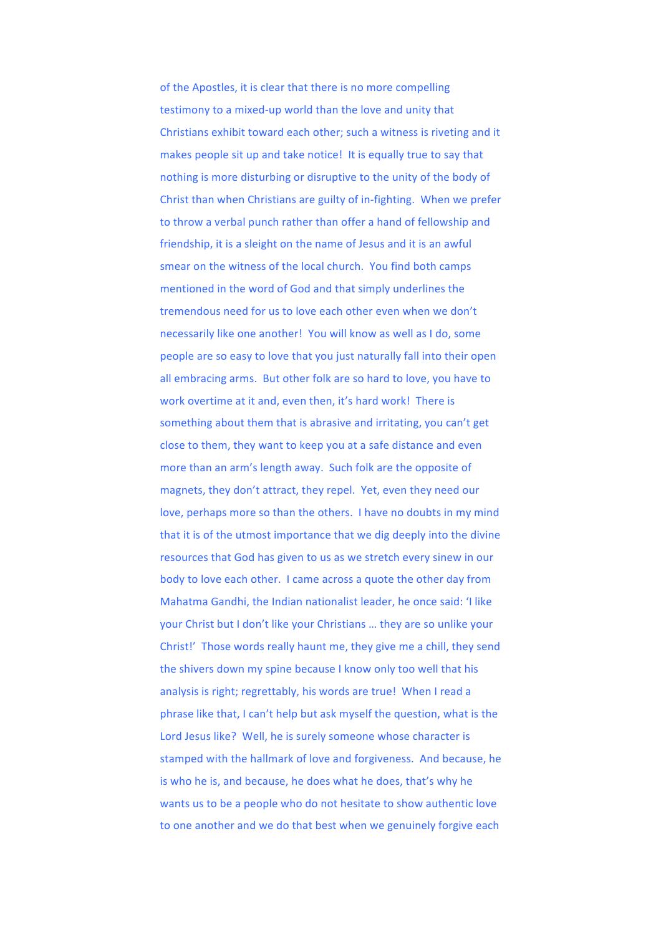of the Apostles, it is clear that there is no more compelling testimony to a mixed-up world than the love and unity that Christians exhibit toward each other; such a witness is riveting and it makes people sit up and take notice! It is equally true to say that nothing is more disturbing or disruptive to the unity of the body of Christ than when Christians are guilty of in-fighting. When we prefer to throw a verbal punch rather than offer a hand of fellowship and friendship, it is a sleight on the name of Jesus and it is an awful smear on the witness of the local church. You find both camps mentioned in the word of God and that simply underlines the tremendous need for us to love each other even when we don't necessarily like one another! You will know as well as I do, some people are so easy to love that you just naturally fall into their open all embracing arms. But other folk are so hard to love, you have to work overtime at it and, even then, it's hard work! There is something about them that is abrasive and irritating, you can't get close to them, they want to keep you at a safe distance and even more than an arm's length away. Such folk are the opposite of magnets, they don't attract, they repel. Yet, even they need our love, perhaps more so than the others. I have no doubts in my mind that it is of the utmost importance that we dig deeply into the divine resources that God has given to us as we stretch every sinew in our body to love each other. I came across a quote the other day from Mahatma Gandhi, the Indian nationalist leader, he once said: 'I like your Christ but I don't like your Christians ... they are so unlike your Christ!' Those words really haunt me, they give me a chill, they send the shivers down my spine because I know only too well that his analysis is right; regrettably, his words are true! When I read a phrase like that, I can't help but ask myself the question, what is the Lord Jesus like? Well, he is surely someone whose character is stamped with the hallmark of love and forgiveness. And because, he is who he is, and because, he does what he does, that's why he wants us to be a people who do not hesitate to show authentic love to one another and we do that best when we genuinely forgive each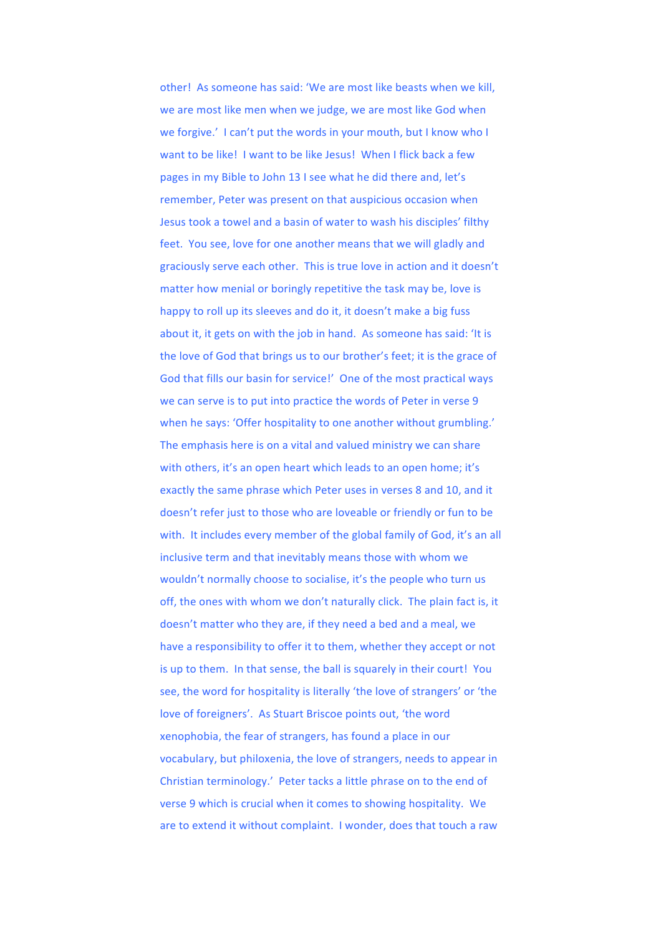other! As someone has said: 'We are most like beasts when we kill, we are most like men when we judge, we are most like God when we forgive.' I can't put the words in your mouth, but I know who I want to be like! I want to be like lesus! When I flick hack a few pages in my Bible to John 13 I see what he did there and, let's remember, Peter was present on that auspicious occasion when Jesus took a towel and a basin of water to wash his disciples' filthy feet. You see, love for one another means that we will gladly and graciously serve each other. This is true love in action and it doesn't matter how menial or boringly repetitive the task may be, love is happy to roll up its sleeves and do it, it doesn't make a big fuss about it, it gets on with the job in hand. As someone has said: 'It is the love of God that brings us to our brother's feet; it is the grace of God that fills our basin for service!' One of the most practical ways we can serve is to put into practice the words of Peter in verse 9 when he says: 'Offer hospitality to one another without grumbling.' The emphasis here is on a vital and valued ministry we can share with others, it's an open heart which leads to an open home; it's exactly the same phrase which Peter uses in verses 8 and 10, and it doesn't refer just to those who are loveable or friendly or fun to be with. It includes every member of the global family of God, it's an all inclusive term and that inevitably means those with whom we wouldn't normally choose to socialise, it's the people who turn us off, the ones with whom we don't naturally click. The plain fact is, it doesn't matter who they are, if they need a bed and a meal, we have a responsibility to offer it to them, whether they accept or not is up to them. In that sense, the ball is squarely in their court! You see, the word for hospitality is literally 'the love of strangers' or 'the love of foreigners'. As Stuart Briscoe points out, 'the word xenophobia, the fear of strangers, has found a place in our vocabulary, but philoxenia, the love of strangers, needs to appear in Christian terminology.' Peter tacks a little phrase on to the end of verse 9 which is crucial when it comes to showing hospitality. We are to extend it without complaint. I wonder, does that touch a raw